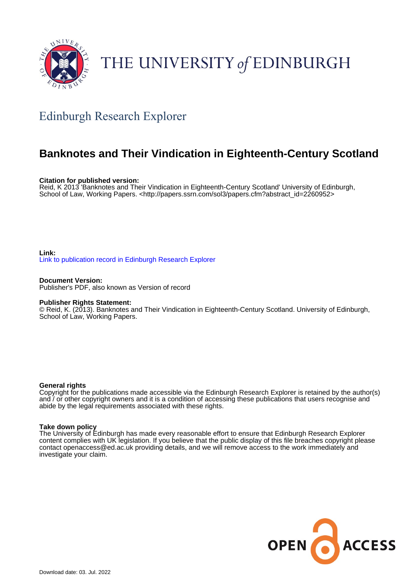

# THE UNIVERSITY of EDINBURGH

# Edinburgh Research Explorer

# **Banknotes and Their Vindication in Eighteenth-Century Scotland**

**Citation for published version:**

Reid, K 2013 'Banknotes and Their Vindication in Eighteenth-Century Scotland' University of Edinburgh, School of Law, Working Papers. <[http://papers.ssrn.com/sol3/papers.cfm?abstract\\_id=2260952](http://papers.ssrn.com/sol3/papers.cfm?abstract_id=2260952)>

#### **Link:** [Link to publication record in Edinburgh Research Explorer](https://www.research.ed.ac.uk/en/publications/a9806846-51d3-45f5-9346-1818045ee230)

**Document Version:** Publisher's PDF, also known as Version of record

#### **Publisher Rights Statement:**

© Reid, K. (2013). Banknotes and Their Vindication in Eighteenth-Century Scotland. University of Edinburgh, School of Law, Working Papers.

#### **General rights**

Copyright for the publications made accessible via the Edinburgh Research Explorer is retained by the author(s) and / or other copyright owners and it is a condition of accessing these publications that users recognise and abide by the legal requirements associated with these rights.

#### **Take down policy**

The University of Edinburgh has made every reasonable effort to ensure that Edinburgh Research Explorer content complies with UK legislation. If you believe that the public display of this file breaches copyright please contact openaccess@ed.ac.uk providing details, and we will remove access to the work immediately and investigate your claim.

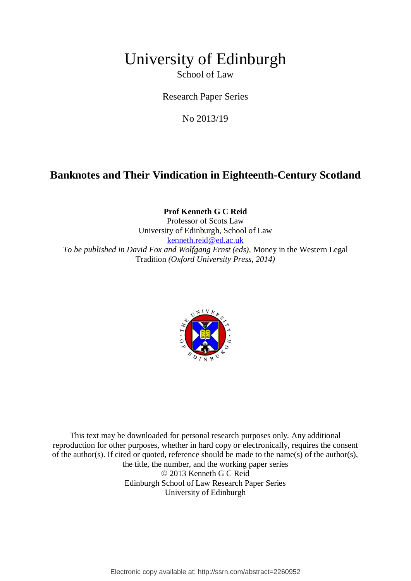# University of Edinburgh School of Law

Research Paper Series

No 2013/19

# **Banknotes and Their Vindication in Eighteenth-Century Scotland**

**Prof Kenneth G C Reid** Professor of Scots Law University of Edinburgh, School of Law [kenneth.reid@ed.ac.uk](mailto:kenneth.reid@ed.ac.uk) *To be published in David Fox and Wolfgang Ernst (eds),* Money in the Western Legal Tradition *(Oxford University Press, 2014)*



This text may be downloaded for personal research purposes only. Any additional reproduction for other purposes, whether in hard copy or electronically, requires the consent of the author(s). If cited or quoted, reference should be made to the name(s) of the author(s), the title, the number, and the working paper series © 2013 Kenneth G C Reid Edinburgh School of Law Research Paper Series University of Edinburgh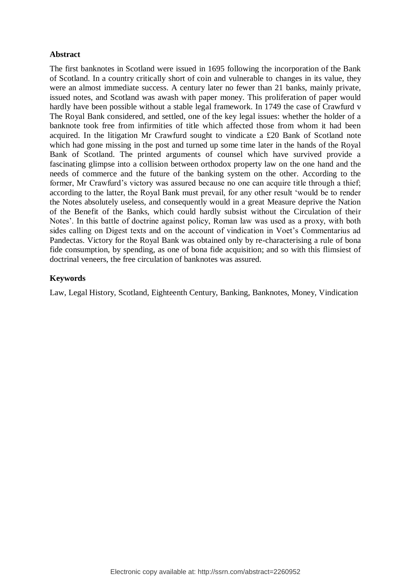# **Abstract**

The first banknotes in Scotland were issued in 1695 following the incorporation of the Bank of Scotland. In a country critically short of coin and vulnerable to changes in its value, they were an almost immediate success. A century later no fewer than 21 banks, mainly private, issued notes, and Scotland was awash with paper money. This proliferation of paper would hardly have been possible without a stable legal framework. In 1749 the case of Crawfurd v The Royal Bank considered, and settled, one of the key legal issues: whether the holder of a banknote took free from infirmities of title which affected those from whom it had been acquired. In the litigation Mr Crawfurd sought to vindicate a £20 Bank of Scotland note which had gone missing in the post and turned up some time later in the hands of the Royal Bank of Scotland. The printed arguments of counsel which have survived provide a fascinating glimpse into a collision between orthodox property law on the one hand and the needs of commerce and the future of the banking system on the other. According to the former, Mr Crawfurd's victory was assured because no one can acquire title through a thief; according to the latter, the Royal Bank must prevail, for any other result 'would be to render the Notes absolutely useless, and consequently would in a great Measure deprive the Nation of the Benefit of the Banks, which could hardly subsist without the Circulation of their Notes'. In this battle of doctrine against policy, Roman law was used as a proxy, with both sides calling on Digest texts and on the account of vindication in Voet's Commentarius ad Pandectas. Victory for the Royal Bank was obtained only by re-characterising a rule of bona fide consumption, by spending, as one of bona fide acquisition; and so with this flimsiest of doctrinal veneers, the free circulation of banknotes was assured.

### **Keywords**

Law, Legal History, Scotland, Eighteenth Century, Banking, Banknotes, Money, Vindication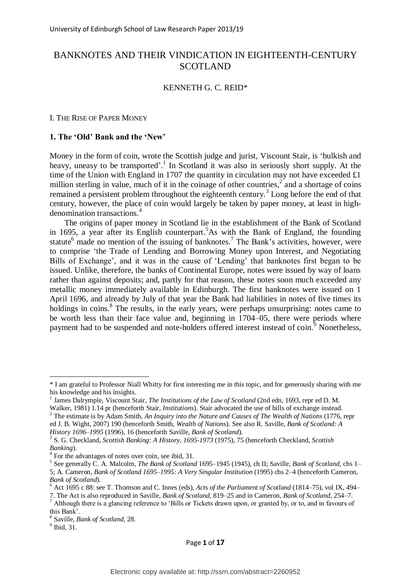# BANKNOTES AND THEIR VINDICATION IN EIGHTEENTH-CENTURY SCOTLAND

# KENNETH G. C. REID\*

I. THE RISE OF PAPER MONEY

#### **1. The 'Old' Bank and the 'New'**

Money in the form of coin, wrote the Scottish judge and jurist, Viscount Stair, is 'bulkish and heavy, uneasy to be transported'.<sup>1</sup> In Scotland it was also in seriously short supply. At the time of the Union with England in 1707 the quantity in circulation may not have exceeded  $£1$ million sterling in value, much of it in the coinage of other countries,<sup>2</sup> and a shortage of coins remained a persistent problem throughout the eighteenth century.<sup>3</sup> Long before the end of that century, however, the place of coin would largely be taken by paper money, at least in highdenomination transactions. 4

The origins of paper money in Scotland lie in the establishment of the Bank of Scotland in 1695, a year after its English counterpart. <sup>5</sup>As with the Bank of England, the founding statute<sup>6</sup> made no mention of the issuing of banknotes.<sup>7</sup> The Bank's activities, however, were to comprise 'the Trade of Lending and Borrowing Money upon Interest, and Negotiating Bills of Exchange', and it was in the cause of 'Lending' that banknotes first began to be issued. Unlike, therefore, the banks of Continental Europe, notes were issued by way of loans rather than against deposits; and, partly for that reason, these notes soon much exceeded any metallic money immediately available in Edinburgh. The first banknotes were issued on 1 April 1696, and already by July of that year the Bank had liabilities in notes of five times its holdings in coins.<sup>8</sup> The results, in the early years, were perhaps unsurprising: notes came to be worth less than their face value and, beginning in 1704–05, there were periods where payment had to be suspended and note-holders offered interest instead of coin.<sup>9</sup> Nonetheless,

**.** 

<sup>\*</sup> I am grateful to Professor Niall Whitty for first interesting me in this topic, and for generously sharing with me his knowledge and his insights.

<sup>1</sup> James Dalrymple, Viscount Stair, *The Institutions of the Law of Scotland* (2nd edn, 1693, repr ed D. M. Walker, 1981) 1.14 pr (henceforth Stair, *Institutions*). Stair advocated the use of bills of exchange instead.

<sup>2</sup> The estimate is by Adam Smith, *An Inquiry into the Nature and Causes of The Wealth of Nations* (1776, repr ed J. B. Wight, 2007) 190 (henceforth Smith, *Wealth of Nations*). See also R. Saville, *Bank of Scotland: A History 1696–1995* (1996), 16 (henceforth Saville, *Bank of Scotland*).

<sup>3</sup> S. G. Checkland, *Scottish Banking: A History, 1695-1973* (1975), 75 (henceforth Checkland, *Scottish Banking*).

<sup>&</sup>lt;sup>4</sup> For the advantages of notes over coin, see ibid, 31.

<sup>5</sup> See generally C. A. Malcolm, *The Bank of Scotland* 1695–1945 (1945), ch II; Saville, *Bank of Scotland*, chs 1– 5; A. Cameron, *Bank of Scotland 1695–1995: A Very Singular Institution* (1995) chs 2–4 (henceforth Cameron, *Bank of Scotland*).

<sup>6</sup> Act 1695 c 88: see T. Thomson and C. Innes (eds), *Acts of the Parliament of Scotland* (1814–75), vol IX, 494– 7. The Act is also reproduced in Saville, *Bank of Scotland*, 819–25 and in Cameron, *Bank of Scotland*, 254–7.

<sup>7</sup> Although there is a glancing reference to 'Bills or Tickets drawn upon, or granted by, or to, and in favours of

this Bank'.

<sup>8</sup> Saville, *Bank of Scotland*, 28.

 $<sup>9</sup>$  Ibid, 31.</sup>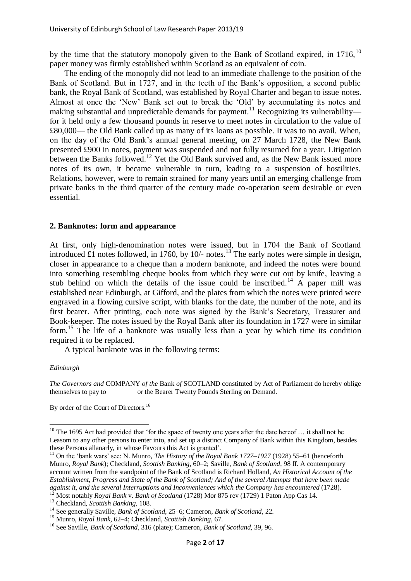by the time that the statutory monopoly given to the Bank of Scotland expired, in  $1716$ ,  $^{10}$ paper money was firmly established within Scotland as an equivalent of coin.

The ending of the monopoly did not lead to an immediate challenge to the position of the Bank of Scotland. But in 1727, and in the teeth of the Bank's opposition, a second public bank, the Royal Bank of Scotland, was established by Royal Charter and began to issue notes. Almost at once the 'New' Bank set out to break the 'Old' by accumulating its notes and making substantial and unpredictable demands for payment.<sup>11</sup> Recognizing its vulnerability for it held only a few thousand pounds in reserve to meet notes in circulation to the value of £80,000— the Old Bank called up as many of its loans as possible. It was to no avail. When, on the day of the Old Bank's annual general meeting, on 27 March 1728, the New Bank presented £900 in notes, payment was suspended and not fully resumed for a year. Litigation between the Banks followed.<sup>12</sup> Yet the Old Bank survived and, as the New Bank issued more notes of its own, it became vulnerable in turn, leading to a suspension of hostilities. Relations, however, were to remain strained for many years until an emerging challenge from private banks in the third quarter of the century made co-operation seem desirable or even essential.

#### **2. Banknotes: form and appearance**

At first, only high-denomination notes were issued, but in 1704 the Bank of Scotland introduced £1 notes followed, in 1760, by 10/- notes.<sup>13</sup> The early notes were simple in design, closer in appearance to a cheque than a modern banknote, and indeed the notes were bound into something resembling cheque books from which they were cut out by knife, leaving a stub behind on which the details of the issue could be inscribed.<sup>14</sup> A paper mill was established near Edinburgh, at Gifford, and the plates from which the notes were printed were engraved in a flowing cursive script, with blanks for the date, the number of the note, and its first bearer. After printing, each note was signed by the Bank's Secretary, Treasurer and Book-keeper. The notes issued by the Royal Bank after its foundation in 1727 were in similar form.<sup>15</sup> The life of a banknote was usually less than a year by which time its condition required it to be replaced.

A typical banknote was in the following terms:

#### *Edinburgh*

-

*The Governors and* COMPANY *of the* Bank *of* SCOTLAND constituted by Act of Parliament do hereby oblige themselves to pay to or the Bearer Twenty Pounds Sterling on Demand.

By order of the Court of Directors.<sup>16</sup>

<sup>&</sup>lt;sup>10</sup> The 1695 Act had provided that 'for the space of twenty one years after the date hereof ... it shall not be Leasom to any other persons to enter into, and set up a distinct Company of Bank within this Kingdom, besides these Persons allanarly, in whose Favours this Act is granted'.

<sup>11</sup> On the 'bank wars' see: N. Munro, *The History of the Royal Bank 1727–1927* (1928) 55–61 (henceforth Munro, *Royal Bank*); Checkland, *Scottish Banking*, 60–2; Saville, *Bank of Scotland*, 98 ff. A contemporary account written from the standpoint of the Bank of Scotland is Richard Holland, *An Historical Account of the Establishment, Progress and State of the Bank of Scotland; And of the several Attempts that have been made against it, and the several Interruptions and Inconveniences which the Company has encountered* (1728).

<sup>12</sup> Most notably *Royal Bank* v. *Bank of Scotland* (1728) Mor 875 rev (1729) 1 Paton App Cas 14.

<sup>13</sup> Checkland, *Scottish Banking*, 108.

<sup>14</sup> See generally Saville, *Bank of Scotland*, 25–6; Cameron, *Bank of Scotland*, 22.

<sup>15</sup> Munro, *Royal Bank*, 62–4; Checkland, *Scottish Banking*, 67.

<sup>16</sup> See Saville, *Bank of Scotland*, 316 (plate); Cameron, *Bank of Scotland*, 39, 96.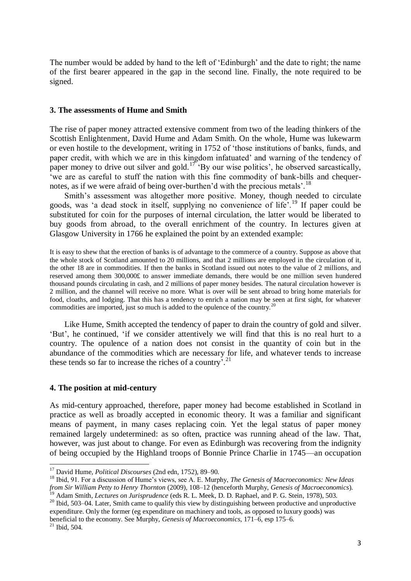The number would be added by hand to the left of 'Edinburgh' and the date to right; the name of the first bearer appeared in the gap in the second line. Finally, the note required to be signed.

#### **3. The assessments of Hume and Smith**

The rise of paper money attracted extensive comment from two of the leading thinkers of the Scottish Enlightenment, David Hume and Adam Smith. On the whole, Hume was lukewarm or even hostile to the development, writing in 1752 of 'those institutions of banks, funds, and paper credit, with which we are in this kingdom infatuated' and warning of the tendency of paper money to drive out silver and gold.<sup>17</sup> By our wise politics', he observed sarcastically, 'we are as careful to stuff the nation with this fine commodity of bank-bills and chequernotes, as if we were afraid of being over-burthen'd with the precious metals'.<sup>18</sup>

Smith's assessment was altogether more positive. Money, though needed to circulate goods, was 'a dead stock in itself, supplying no convenience of life'.<sup>19</sup> If paper could be substituted for coin for the purposes of internal circulation, the latter would be liberated to buy goods from abroad, to the overall enrichment of the country. In lectures given at Glasgow University in 1766 he explained the point by an extended example:

It is easy to shew that the erection of banks is of advantage to the commerce of a country. Suppose as above that the whole stock of Scotland amounted to 20 millions, and that 2 millions are employed in the circulation of it, the other 18 are in commodities. If then the banks in Scotland issued out notes to the value of 2 millions, and reserved among them 300,000£ to answer immediate demands, there would be one million seven hundered thousand pounds circulating in cash, and 2 millions of paper money besides. The natural circulation however is 2 million, and the channel will receive no more. What is over will be sent abroad to bring home materials for food, cloaths, and lodging. That this has a tendency to enrich a nation may be seen at first sight, for whatever commodities are imported, just so much is added to the opulence of the country.<sup>20</sup>

Like Hume, Smith accepted the tendency of paper to drain the country of gold and silver. 'But', he continued, 'if we consider attentively we will find that this is no real hurt to a country. The opulence of a nation does not consist in the quantity of coin but in the abundance of the commodities which are necessary for life, and whatever tends to increase these tends so far to increase the riches of a country<sup>'</sup>.<sup>21</sup>

#### **4. The position at mid-century**

As mid-century approached, therefore, paper money had become established in Scotland in practice as well as broadly accepted in economic theory. It was a familiar and significant means of payment, in many cases replacing coin. Yet the legal status of paper money remained largely undetermined: as so often, practice was running ahead of the law. That, however, was just about to change. For even as Edinburgh was recovering from the indignity of being occupied by the Highland troops of Bonnie Prince Charlie in 1745—an occupation

<sup>19</sup> Adam Smith, *Lectures on Jurisprudence* (eds R. L. Meek, D. D. Raphael, and P. G. Stein, 1978), 503.

<sup>17</sup> David Hume, *Political Discourses* (2nd edn, 1752), 89–90.

<sup>18</sup> Ibid, 91. For a discussion of Hume's views, see A. E. Murphy, *The Genesis of Macroeconomics: New Ideas from Sir William Petty to Henry Thornton* (2009), 108–12 (henceforth Murphy, *Genesis of Macroeconomics*).

<sup>&</sup>lt;sup>20</sup> Ibid, 503–04. Later, Smith came to qualify this view by distinguishing between productive and unproductive expenditure. Only the former (eg expenditure on machinery and tools, as opposed to luxury goods) was beneficial to the economy. See Murphy, *Genesis of Macroeconomics*, 171–6, esp 175–6.

 $21$  Ibid, 504.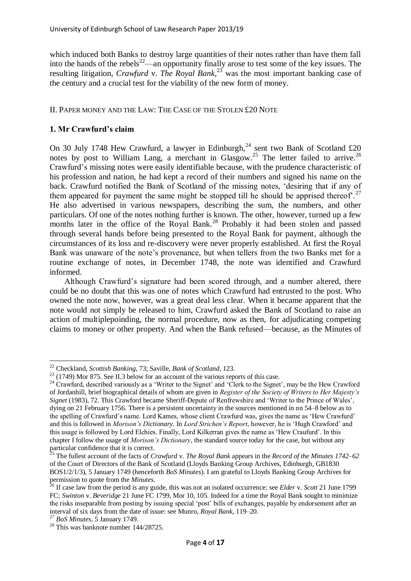which induced both Banks to destroy large quantities of their notes rather than have them fall into the hands of the rebels $^{22}$ —an opportunity finally arose to test some of the key issues. The resulting litigation, *Crawfurd* v. *The Royal Bank*, <sup>23</sup> was the most important banking case of the century and a crucial test for the viability of the new form of money*.*

# II. PAPER MONEY AND THE LAW: THE CASE OF THE STOLEN £20 NOTE

# **1. Mr Crawfurd's claim**

On 30 July 1748 Hew Crawfurd, a lawyer in Edinburgh,  $24$  sent two Bank of Scotland £20 notes by post to William Lang, a merchant in Glasgow.<sup>25</sup> The letter failed to arrive.<sup>26</sup> Crawfurd's missing notes were easily identifiable because, with the prudence characteristic of his profession and nation, he had kept a record of their numbers and signed his name on the back. Crawfurd notified the Bank of Scotland of the missing notes, 'desiring that if any of them appeared for payment the same might be stopped till he should be apprised thereof.<sup>27</sup> He also advertised in various newspapers, describing the sum, the numbers, and other particulars. Of one of the notes nothing further is known. The other, however, turned up a few months later in the office of the Royal Bank.<sup>28</sup> Probably it had been stolen and passed through several hands before being presented to the Royal Bank for payment, although the circumstances of its loss and re-discovery were never properly established. At first the Royal Bank was unaware of the note's provenance, but when tellers from the two Banks met for a routine exchange of notes, in December 1748, the note was identified and Crawfurd informed.

Although Crawfurd's signature had been scored through, and a number altered, there could be no doubt that this was one of notes which Crawfurd had entrusted to the post. Who owned the note now, however, was a great deal less clear. When it became apparent that the note would not simply be released to him, Crawfurd asked the Bank of Scotland to raise an action of multiplepoinding, the normal procedure, now as then, for adjudicating competing claims to money or other property. And when the Bank refused—because, as the Minutes of

<sup>1</sup> <sup>22</sup> Checkland, *Scottish Banking*, 73; Saville, *Bank of Scotland*, 123.

 $23$  (1749) Mor 875. See II.3 below for an account of the various reports of this case.

<sup>&</sup>lt;sup>24</sup> Crawfurd, described variously as a 'Writer to the Signet' and 'Clerk to the Signet', may be the Hew Crawford of Jordanhill, brief biographical details of whom are given in *Register of the Society of Writers to Her Majesty's Signet* (1983), 72. This Crawford became Sheriff-Depute of Renfrewshire and 'Writer to the Prince of Wales', dying on 21 February 1756. There is a persistent uncertainty in the sources mentioned in nn 54–8 below as to the spelling of Crawfurd's name. Lord Kames, whose client Crawfurd was, gives the name as 'Hew Crawfurd' and this is followed in *Morison's Dictionary*. In *Lord Strichen's Report*, however, he is 'Hugh Crawford' and this usage is followed by Lord Elchies. Finally, Lord Kilkerran gives the name as 'Hew Craufurd'. In this chapter I follow the usage of *Morison's Dictionary*, the standard source today for the case, but without any particular confidence that it is correct.

<sup>25</sup> The fullest account of the facts of *Crawfurd* v. *The Royal Bank* appears in the *Record of the Minutes 1742–62*  of the Court of Directors of the Bank of Scotland (Lloyds Banking Group Archives, Edinburgh, GB1830 BOS1/2/1/3), 5 January 1749 (henceforth *BoS Minutes*). I am grateful to Lloyds Banking Group Archives for permission to quote from the *Minutes*.

<sup>26</sup> If case law from the period is any guide, this was not an isolated occurrence: see *Elder* v. *Scott* 21 June 1799 FC; *Swinton* v. *Beveridge* 21 June FC 1799, Mor 10, 105. Indeed for a time the Royal Bank sought to minimize the risks inseparable from posting by issuing special 'post' bills of exchanges, payable by endorsement after an interval of six days from the date of issue: see Munro, *Royal Bank*, 119–20.

<sup>27</sup> *BoS Minutes*, 5 January 1749.

<sup>28</sup> This was banknote number 144/28725.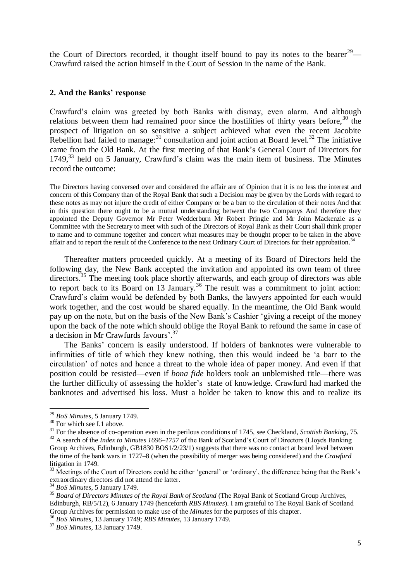the Court of Directors recorded, it thought itself bound to pay its notes to the bearer<sup>29</sup>— Crawfurd raised the action himself in the Court of Session in the name of the Bank.

#### **2. And the Banks' response**

Crawfurd's claim was greeted by both Banks with dismay, even alarm. And although relations between them had remained poor since the hostilities of thirty years before,  $30$  the prospect of litigation on so sensitive a subject achieved what even the recent Jacobite Rebellion had failed to manage:  $31$  consultation and joint action at Board level.<sup>32</sup> The initiative came from the Old Bank. At the first meeting of that Bank's General Court of Directors for 1749,<sup>33</sup> held on 5 January, Crawfurd's claim was the main item of business. The Minutes record the outcome:

The Directors having conversed over and considered the affair are of Opinion that it is no less the interest and concern of this Company than of the Royal Bank that such a Decision may be given by the Lords with regard to these notes as may not injure the credit of either Company or be a barr to the circulation of their notes And that in this question there ought to be a mutual understanding betwext the two Companys And therefore they appointed the Deputy Governor Mr Peter Wedderburn Mr Robert Pringle and Mr John Mackenzie as a Committee with the Secretary to meet with such of the Directors of Royal Bank as their Court shall think proper to name and to commune together and concert what measures may be thought proper to be taken in the above affair and to report the result of the Conference to the next Ordinary Court of Directors for their approbation.<sup>34</sup>

Thereafter matters proceeded quickly. At a meeting of its Board of Directors held the following day, the New Bank accepted the invitation and appointed its own team of three directors.<sup>35</sup> The meeting took place shortly afterwards, and each group of directors was able to report back to its Board on 13 January.<sup>36</sup> The result was a commitment to joint action: Crawfurd's claim would be defended by both Banks, the lawyers appointed for each would work together, and the cost would be shared equally. In the meantime, the Old Bank would pay up on the note, but on the basis of the New Bank's Cashier 'giving a receipt of the money upon the back of the note which should oblige the Royal Bank to refound the same in case of a decision in Mr Crawfurds favours'. 37

The Banks' concern is easily understood. If holders of banknotes were vulnerable to infirmities of title of which they knew nothing, then this would indeed be 'a barr to the circulation' of notes and hence a threat to the whole idea of paper money. And even if that position could be resisted—even if *bona fide* holders took an unblemished title—there was the further difficulty of assessing the holder's state of knowledge. Crawfurd had marked the banknotes and advertised his loss. Must a holder be taken to know this and to realize its

<sup>29</sup> *BoS Minutes*, 5 January 1749.

<sup>&</sup>lt;sup>30</sup> For which see I.1 above.

<sup>&</sup>lt;sup>31</sup> For the absence of co-operation even in the perilous conditions of 1745, see Checkland, *Scottish Banking*, 75.

<sup>&</sup>lt;sup>32</sup> A search of the *Index to Minutes 1696–1757* of the Bank of Scotland's Court of Directors (Lloyds Banking Group Archives, Edinburgh, GB1830 BOS1/2/23/1) suggests that there was no contact at board level between the time of the bank wars in 1727–8 (when the possibility of merger was being considered) and the *Crawfurd*  litigation in 1749.

<sup>&</sup>lt;sup>33</sup> Meetings of the Court of Directors could be either 'general' or 'ordinary', the difference being that the Bank's extraordinary directors did not attend the latter.

<sup>34</sup> *BoS Minutes*, 5 January 1749.

<sup>&</sup>lt;sup>35</sup> Board of Directors Minutes of the Royal Bank of Scotland (The Royal Bank of Scotland Group Archives, Edinburgh, RB/5/12), 6 January 1749 (henceforth *RBS Minutes*). I am grateful to The Royal Bank of Scotland Group Archives for permission to make use of the *Minutes* for the purposes of this chapter.

<sup>36</sup> *BoS Minutes*, 13 January 1749; *RBS Minutes*, 13 January 1749.

<sup>37</sup> *BoS Minutes*, 13 January 1749.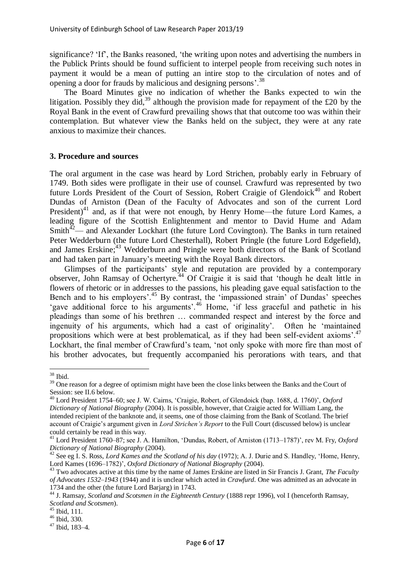significance? 'If', the Banks reasoned, 'the writing upon notes and advertising the numbers in the Publick Prints should be found sufficient to interpel people from receiving such notes in payment it would be a mean of putting an intire stop to the circulation of notes and of opening a door for frauds by malicious and designing persons'.<sup>38</sup>

The Board Minutes give no indication of whether the Banks expected to win the litigation. Possibly they did,<sup>39</sup> although the provision made for repayment of the £20 by the Royal Bank in the event of Crawfurd prevailing shows that that outcome too was within their contemplation. But whatever view the Banks held on the subject, they were at any rate anxious to maximize their chances.

# **3. Procedure and sources**

The oral argument in the case was heard by Lord Strichen, probably early in February of 1749. Both sides were profligate in their use of counsel. Crawfurd was represented by two future Lords President of the Court of Session, Robert Craigie of Glendoick<sup>40</sup> and Robert Dundas of Arniston (Dean of the Faculty of Advocates and son of the current Lord President) $41$  and, as if that were not enough, by Henry Home—the future Lord Kames, a leading figure of the Scottish Enlightenment and mentor to David Hume and Adam  $Smith<sup>42</sup>$ — and Alexander Lockhart (the future Lord Covington). The Banks in turn retained Peter Wedderburn (the future Lord Chesterhall), Robert Pringle (the future Lord Edgefield), and James Erskine;<sup>43</sup> Wedderburn and Pringle were both directors of the Bank of Scotland and had taken part in January's meeting with the Royal Bank directors.

Glimpses of the participants' style and reputation are provided by a contemporary observer, John Ramsay of Ochertyre.<sup>44</sup> Of Craigie it is said that 'though he dealt little in flowers of rhetoric or in addresses to the passions, his pleading gave equal satisfaction to the Bench and to his employers'.<sup>45</sup> By contrast, the 'impassioned strain' of Dundas' speeches 'gave additional force to his arguments'.<sup>46</sup> Home, 'if less graceful and pathetic in his pleadings than some of his brethren … commanded respect and interest by the force and ingenuity of his arguments, which had a cast of originality'. Often he 'maintained propositions which were at best problematical, as if they had been self-evident axioms'.<sup>47</sup> Lockhart, the final member of Crawfurd's team, 'not only spoke with more fire than most of his brother advocates, but frequently accompanied his perorations with tears, and that

 $45$  Ibid, 111.

 $46$  Ibid, 330.

<sup>1</sup>  $38$  Ibid.

<sup>&</sup>lt;sup>39</sup> One reason for a degree of optimism might have been the close links between the Banks and the Court of Session: see II.6 below.

<sup>40</sup> Lord President 1754–60; see J. W. Cairns, 'Craigie, Robert, of Glendoick (bap. 1688, d. 1760)', *Oxford Dictionary of National Biography* (2004). It is possible, however, that Craigie acted for William Lang, the intended recipient of the banknote and, it seems, one of those claiming from the Bank of Scotland. The brief account of Craigie's argument given in *Lord Strichen's Report* to the Full Court (discussed below) is unclear could certainly be read in this way.

<sup>41</sup> Lord President 1760–87; see J. A. Hamilton, 'Dundas, Robert, of Arniston (1713–1787)', rev M. Fry, *Oxford Dictionary of National Biography* (2004).

<sup>42</sup> See eg I. S. Ross, *Lord Kames and the Scotland of his day* (1972); A. J. Durie and S. Handley, 'Home, Henry, Lord Kames (1696–1782)', *Oxford Dictionary of National Biography* (2004).

<sup>43</sup> Two advocates active at this time by the name of James Erskine are listed in Sir Francis J. Grant, *The Faculty of Advocates 1532–1943* (1944) and it is unclear which acted in *Crawfurd*. One was admitted as an advocate in 1734 and the other (the future Lord Barjarg) in 1743.

<sup>44</sup> J. Ramsay, *Scotland and Scotsmen in the Eighteenth Century* (1888 repr 1996), vol I (henceforth Ramsay, *Scotland and Scotsmen*).

<sup>47</sup> Ibid, 183–4.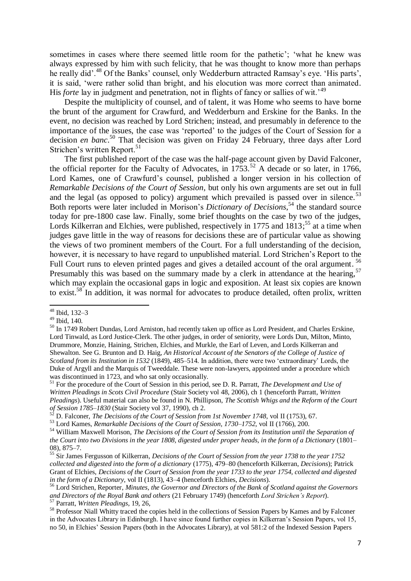sometimes in cases where there seemed little room for the pathetic'; 'what he knew was always expressed by him with such felicity, that he was thought to know more than perhaps he really did'.<sup>48</sup> Of the Banks' counsel, only Wedderburn attracted Ramsay's eye. 'His parts', it is said, 'were rather solid than bright, and his elocution was more correct than animated. His *forte* lay in judgment and penetration, not in flights of fancy or sallies of wit.<sup>19</sup>

Despite the multiplicity of counsel, and of talent, it was Home who seems to have borne the brunt of the argument for Crawfurd, and Wedderburn and Erskine for the Banks. In the event, no decision was reached by Lord Strichen; instead, and presumably in deference to the importance of the issues, the case was 'reported' to the judges of the Court of Session for a decision *en banc*. <sup>50</sup> That decision was given on Friday 24 February, three days after Lord Strichen's written Report.<sup>51</sup>

The first published report of the case was the half-page account given by David Falconer, the official reporter for the Faculty of Advocates, in  $1753$ <sup>52</sup> A decade or so later, in 1766, Lord Kames, one of Crawfurd's counsel, published a longer version in his collection of *Remarkable Decisions of the Court of Session*, but only his own arguments are set out in full and the legal (as opposed to policy) argument which prevailed is passed over in silence.<sup>53</sup> Both reports were later included in Morison's *Dictionary of Decisions*, <sup>54</sup> the standard source today for pre-1800 case law. Finally, some brief thoughts on the case by two of the judges, Lords Kilkerran and Elchies, were published, respectively in 1775 and 1813;<sup>55</sup> at a time when judges gave little in the way of reasons for decisions these are of particular value as showing the views of two prominent members of the Court. For a full understanding of the decision, however, it is necessary to have regard to unpublished material. Lord Strichen's Report to the Full Court runs to eleven printed pages and gives a detailed account of the oral argument.<sup>56</sup> Presumably this was based on the summary made by a clerk in attendance at the hearing,<sup>57</sup> which may explain the occasional gaps in logic and exposition. At least six copies are known to exist.<sup>58</sup> In addition, it was normal for advocates to produce detailed, often prolix, written

<sup>48</sup> Ibid, 132–3

 $49$  Ibid, 140.

<sup>&</sup>lt;sup>50</sup> In 1749 Robert Dundas, Lord Arniston, had recently taken up office as Lord President, and Charles Erskine, Lord Tinwald, as Lord Justice-Clerk. The other judges, in order of seniority, were Lords Dun, Milton, Minto, Drummore, Monzie, Haining, Strichen, Elchies, and Murkle, the Earl of Leven, and Lords Kilkerran and Shewalton. See G. Brunton and D. Haig, *An Historical Account of the Senators of the College of Justice of Scotland from its Institution in 1532* (1849), 485–514. In addition, there were two 'extraordinary' Lords, the Duke of Argyll and the Marquis of Tweeddale. These were non-lawyers, appointed under a procedure which was discontinued in 1723, and who sat only occasionally.

<sup>51</sup> For the procedure of the Court of Session in this period, see D. R. Parratt, *The Development and Use of Written Pleadings in Scots Civil Procedure* (Stair Society vol 48, 2006), ch 1 (henceforth Parratt, *Written Pleadings*). Useful material can also be found in N. Phillipson, *The Scottish Whigs and the Reform of the Court of Session 1785–1830* (Stair Society vol 37, 1990), ch 2.

<sup>52</sup> D. Falconer, *The Decisions of the Court of Session from 1st November 1748*, vol II (1753), 67.

<sup>53</sup> Lord Kames, *Remarkable Decisions of the Court of Session, 1730–1752*, vol II (1766), 200.

<sup>54</sup> William Maxwell Morison, *The Decisions of the Court of Session from its Institution until the Separation of the Court into two Divisions in the year 1808, digested under proper heads, in the form of a Dictionary* (1801– 08), 875–7.

<sup>55</sup> Sir James Fergusson of Kilkerran, *Decisions of the Court of Session from the year 1738 to the year 1752 collected and digested into the form of a dictionary* (1775), 479–80 (henceforth Kilkerran, *Decisions*); Patrick Grant of Elchies, *Decisions of the Court of Session from the year 1733 to the year 1754, collected and digested in the form of a Dictionary*, vol II (1813), 43–4 (henceforth Elchies, *Decisions*).

<sup>56</sup> Lord Strichen, Reporter, *Minutes, the Governor and Directors of the Bank of Scotland against the Governors and Directors of the Royal Bank and others* (21 February 1749) (henceforth *Lord Strichen's Report*). <sup>57</sup> Parratt, *Written Pleadings*, 19, 26,

<sup>&</sup>lt;sup>58</sup> Professor Niall Whitty traced the copies held in the collections of Session Papers by Kames and by Falconer in the Advocates Library in Edinburgh. I have since found further copies in Kilkerran's Session Papers, vol 15, no 50, in Elchies' Session Papers (both in the Advocates Library), at vol 581:2 of the Indexed Session Papers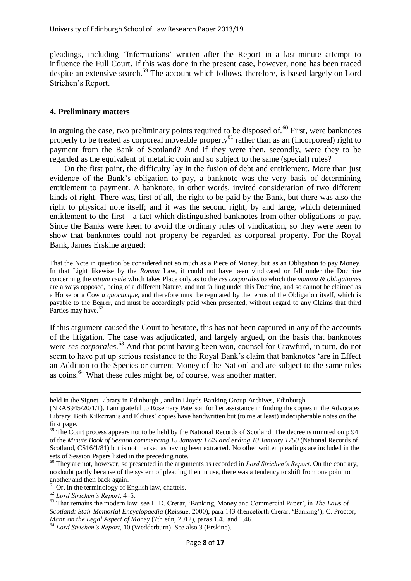pleadings, including 'Informations' written after the Report in a last-minute attempt to influence the Full Court. If this was done in the present case, however, none has been traced despite an extensive search.<sup>59</sup> The account which follows, therefore, is based largely on Lord Strichen's Report.

# **4. Preliminary matters**

In arguing the case, two preliminary points required to be disposed of  $60^{\circ}$  First, were banknotes properly to be treated as corporeal moveable property<sup>61</sup> rather than as an (incorporeal) right to payment from the Bank of Scotland? And if they were then, secondly, were they to be regarded as the equivalent of metallic coin and so subject to the same (special) rules?

On the first point, the difficulty lay in the fusion of debt and entitlement. More than just evidence of the Bank's obligation to pay, a banknote was the very basis of determining entitlement to payment. A banknote, in other words, invited consideration of two different kinds of right. There was, first of all, the right to be paid by the Bank, but there was also the right to physical note itself; and it was the second right, by and large, which determined entitlement to the first—a fact which distinguished banknotes from other obligations to pay. Since the Banks were keen to avoid the ordinary rules of vindication, so they were keen to show that banknotes could not property be regarded as corporeal property. For the Royal Bank, James Erskine argued:

That the Note in question be considered not so much as a Piece of Money, but as an Obligation to pay Money. In that Light likewise by the *Roman* Law, it could not have been vindicated or fall under the Doctrine concerning the *vitium reale* which takes Place only as to the *res corporales* to which the *nomina & obligationes*  are always opposed, being of a different Nature, and not falling under this Doctrine, and so cannot be claimed as a Horse or a Cow *a quocunque*, and therefore must be regulated by the terms of the Obligation itself, which is payable to the Bearer, and must be accordingly paid when presented, without regard to any Claims that third Parties may have.<sup>62</sup>

If this argument caused the Court to hesitate, this has not been captured in any of the accounts of the litigation. The case was adjudicated, and largely argued, on the basis that banknotes were *res corporales*.<sup>63</sup> And that point having been won, counsel for Crawfurd, in turn, do not seem to have put up serious resistance to the Royal Bank's claim that banknotes 'are in Effect an Addition to the Species or current Money of the Nation' and are subject to the same rules as coins.<sup>64</sup> What these rules might be, of course, was another matter.

**.** 

held in the Signet Library in Edinburgh , and in Lloyds Banking Group Archives, Edinburgh

<sup>(</sup>NRAS945/20/1/1). I am grateful to Rosemary Paterson for her assistance in finding the copies in the Advocates Library. Both Kilkerran's and Elchies' copies have handwritten but (to me at least) indecipherable notes on the first page.

<sup>&</sup>lt;sup>59</sup> The Court process appears not to be held by the National Records of Scotland. The decree is minuted on p 94 of the *Minute Book of Session commencing 15 January 1749 and ending 10 January 1750* (National Records of Scotland, CS16/1/81) but is not marked as having been extracted. No other written pleadings are included in the sets of Session Papers listed in the preceding note.

<sup>60</sup> They are not, however, so presented in the arguments as recorded in *Lord Strichen's Report*. On the contrary, no doubt partly because of the system of pleading then in use, there was a tendency to shift from one point to another and then back again.

 $61$  Or, in the terminology of English law, chattels.

<sup>62</sup> *Lord Strichen's Report*, 4–5.

<sup>63</sup> That remains the modern law: see L. D. Crerar, 'Banking, Money and Commercial Paper', in *The Laws of Scotland: Stair Memorial Encyclopaedia* (Reissue, 2000), para 143 (henceforth Crerar, 'Banking'); C. Proctor, *Mann on the Legal Aspect of Money* (7th edn, 2012), paras 1.45 and 1.46.

<sup>64</sup> *Lord Strichen's Report*, 10 (Wedderburn). See also 3 (Erskine).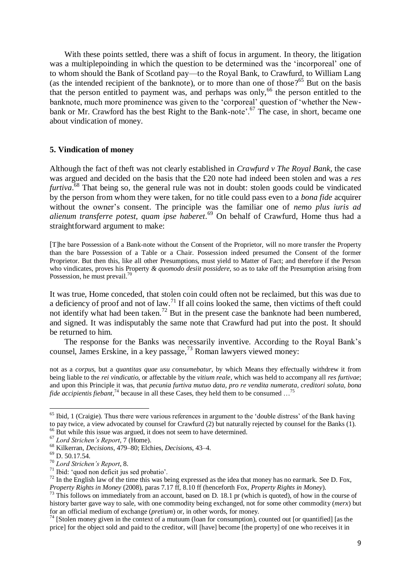With these points settled, there was a shift of focus in argument. In theory, the litigation was a multiplepoinding in which the question to be determined was the 'incorporeal' one of to whom should the Bank of Scotland pay—to the Royal Bank, to Crawfurd, to William Lang (as the intended recipient of the banknote), or to more than one of those?<sup>65</sup> But on the basis that the person entitled to payment was, and perhaps was only,<sup>66</sup> the person entitled to the banknote, much more prominence was given to the 'corporeal' question of 'whether the Newbank or Mr. Crawford has the best Right to the Bank-note'.<sup>67</sup> The case, in short, became one about vindication of money.

### **5. Vindication of money**

Although the fact of theft was not clearly established in *Crawfurd v The Royal Bank*, the case was argued and decided on the basis that the £20 note had indeed been stolen and was a *res furtiva*. <sup>68</sup> That being so, the general rule was not in doubt: stolen goods could be vindicated by the person from whom they were taken, for no title could pass even to a *bona fide* acquirer without the owner's consent. The principle was the familiar one of *nemo plus iuris ad alienum transferre potest, quam ipse haberet*. <sup>69</sup> On behalf of Crawfurd, Home thus had a straightforward argument to make:

[T]he bare Possession of a Bank-note without the Consent of the Proprietor, will no more transfer the Property than the bare Possession of a Table or a Chair. Possession indeed presumed the Consent of the former Proprietor. But then this, like all other Presumptions, must yield to Matter of Fact; and therefore if the Person who vindicates, proves his Property *& quomodo desiit possidere*, so as to take off the Presumption arising from Possession, he must prevail. $\frac{70}{2}$ 

It was true, Home conceded, that stolen coin could often not be reclaimed, but this was due to a deficiency of proof and not of law.<sup>71</sup> If all coins looked the same, then victims of theft could not identify what had been taken.<sup>72</sup> But in the present case the banknote had been numbered, and signed. It was indisputably the same note that Crawfurd had put into the post. It should be returned to him.

The response for the Banks was necessarily inventive. According to the Royal Bank's counsel, James Erskine, in a key passage, <sup>73</sup> Roman lawyers viewed money:

not as a *corpus*, but a *quantitas quae usu consumebatur*, by which Means they effectually withdrew it from being liable to the *rei vindicatio*, or affectable by the *vitium reale*, which was held to accompany all *res furtivae*; and upon this Principle it was, that *pecunia furtiva mutuo data, pro re vendita numerata, creditori soluta, bona fide accipientis fiebant*, <sup>74</sup> because in all these Cases, they held them to be consumed …<sup>75</sup>

 $65$  Ibid, 1 (Craigie). Thus there were various references in argument to the 'double distress' of the Bank having to pay twice, a view advocated by counsel for Crawfurd (2) but naturally rejected by counsel for the Banks (1).

<sup>&</sup>lt;sup>66</sup> But while this issue was argued, it does not seem to have determined.

<sup>67</sup> *Lord Strichen's Report*, 7 (Home).

<sup>68</sup> Kilkerran, *Decisions*, 479–80; Elchies, *Decisions*, 43–4.

<sup>69</sup> D. 50.17.54.

<sup>70</sup> *Lord Strichen's Report*, 8.

<sup>71</sup> Ibid: 'quod non deficit jus sed probatio'.

 $^{72}$  In the English law of the time this was being expressed as the idea that money has no earmark. See D. Fox, *Property Rights in Money* (2008), paras 7.17 ff, 8.10 ff (henceforth Fox, *Property Rights in Money*).

<sup>&</sup>lt;sup>73</sup> This follows on immediately from an account, based on D. 18.1 pr (which is quoted), of how in the course of history barter gave way to sale, with one commodity being exchanged, not for some other commodity (*merx*) but for an official medium of exchange (*pretium*) or, in other words, for money.

<sup>&</sup>lt;sup>74</sup> [Stolen money given in the context of a mutuum (loan for consumption), counted out [or quantified] [as the price] for the object sold and paid to the creditor, will [have] become [the property] of one who receives it in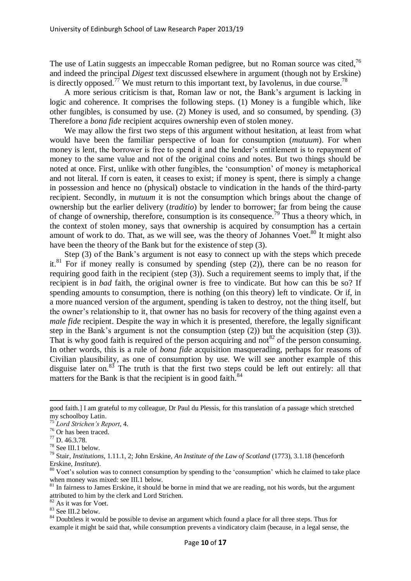The use of Latin suggests an impeccable Roman pedigree, but no Roman source was cited,  $76$ and indeed the principal *Digest* text discussed elsewhere in argument (though not by Erskine) is directly opposed.<sup>77</sup> We must return to this important text, by Iavolenus, in due course.<sup>78</sup>

A more serious criticism is that, Roman law or not, the Bank's argument is lacking in logic and coherence. It comprises the following steps. (1) Money is a fungible which, like other fungibles, is consumed by use. (2) Money is used, and so consumed, by spending. (3) Therefore a *bona fide* recipient acquires ownership even of stolen money.

We may allow the first two steps of this argument without hesitation, at least from what would have been the familiar perspective of loan for consumption (*mutuum*). For when money is lent, the borrower is free to spend it and the lender's entitlement is to repayment of money to the same value and not of the original coins and notes. But two things should be noted at once. First, unlike with other fungibles, the 'consumption' of money is metaphorical and not literal. If corn is eaten, it ceases to exist; if money is spent, there is simply a change in possession and hence no (physical) obstacle to vindication in the hands of the third-party recipient. Secondly, in *mutuum* it is not the consumption which brings about the change of ownership but the earlier delivery (*traditio*) by lender to borrower; far from being the cause of change of ownership, therefore, consumption is its consequence.<sup>79</sup> Thus a theory which, in the context of stolen money, says that ownership is acquired by consumption has a certain amount of work to do. That, as we will see, was the theory of Johannes Voet.<sup>80</sup> It might also have been the theory of the Bank but for the existence of step (3).

Step (3) of the Bank's argument is not easy to connect up with the steps which precede it. $81$  For if money really is consumed by spending (step (2)), there can be no reason for requiring good faith in the recipient (step (3)). Such a requirement seems to imply that, if the recipient is in *bad* faith, the original owner is free to vindicate. But how can this be so? If spending amounts to consumption, there is nothing (on this theory) left to vindicate. Or if, in a more nuanced version of the argument, spending is taken to destroy, not the thing itself, but the owner's relationship to it, that owner has no basis for recovery of the thing against even a *male fide* recipient. Despite the way in which it is presented, therefore, the legally significant step in the Bank's argument is not the consumption (step (2)) but the acquisition (step (3)). That is why good faith is required of the person acquiring and not  $82$  of the person consuming. In other words, this is a rule of *bona fide* acquisition masquerading, perhaps for reasons of Civilian plausibility, as one of consumption by use. We will see another example of this disguise later on. $83$  The truth is that the first two steps could be left out entirely: all that matters for the Bank is that the recipient is in good faith.<sup>84</sup>

good faith.] I am grateful to my colleague, Dr Paul du Plessis, for this translation of a passage which stretched my schoolboy Latin.

<sup>75</sup> *Lord Strichen's Report*, 4.

<sup>76</sup> Or has been traced.

<sup>77</sup> D. 46.3.78.

<sup>78</sup> See III.1 below.

<sup>79</sup> Stair, *Institutions*, 1.11.1, 2; John Erskine, *An Institute of the Law of Scotland* (1773), 3.1.18 (henceforth Erskine, *Institute*).

<sup>&</sup>lt;sup>80</sup> Voet's solution was to connect consumption by spending to the 'consumption' which he claimed to take place when money was mixed: see III.1 below.

 $81$  In fairness to James Erskine, it should be borne in mind that we are reading, not his words, but the argument attributed to him by the clerk and Lord Strichen.

<sup>&</sup>lt;sup>82</sup> As it was for Voet.

<sup>&</sup>lt;sup>83</sup> See III.2 below.

<sup>&</sup>lt;sup>84</sup> Doubtless it would be possible to devise an argument which found a place for all three steps. Thus for example it might be said that, while consumption prevents a vindicatory claim (because, in a legal sense, the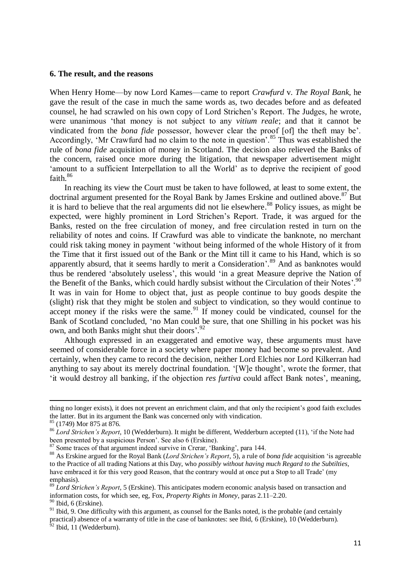#### **6. The result, and the reasons**

When Henry Home—by now Lord Kames—came to report *Crawfurd* v. *The Royal Bank*, he gave the result of the case in much the same words as, two decades before and as defeated counsel, he had scrawled on his own copy of Lord Strichen's Report. The Judges, he wrote, were unanimous 'that money is not subject to any *vitium reale*; and that it cannot be vindicated from the *bona fide* possessor, however clear the proof [of] the theft may be'. Accordingly, 'Mr Crawfurd had no claim to the note in question'.<sup>85</sup> Thus was established the rule of *bona fide* acquisition of money in Scotland. The decision also relieved the Banks of the concern, raised once more during the litigation, that newspaper advertisement might 'amount to a sufficient Interpellation to all the World' as to deprive the recipient of good faith.<sup>86</sup>

In reaching its view the Court must be taken to have followed, at least to some extent, the doctrinal argument presented for the Royal Bank by James Erskine and outlined above. <sup>87</sup> But it is hard to believe that the real arguments did not lie elsewhere. <sup>88</sup> Policy issues, as might be expected, were highly prominent in Lord Strichen's Report. Trade, it was argued for the Banks, rested on the free circulation of money, and free circulation rested in turn on the reliability of notes and coins. If Crawfurd was able to vindicate the banknote, no merchant could risk taking money in payment 'without being informed of the whole History of it from the Time that it first issued out of the Bank or the Mint till it came to his Hand, which is so apparently absurd, that it seems hardly to merit a Consideration'.<sup>89</sup> And as banknotes would thus be rendered 'absolutely useless', this would 'in a great Measure deprive the Nation of the Benefit of the Banks, which could hardly subsist without the Circulation of their Notes'.<sup>90</sup> It was in vain for Home to object that, just as people continue to buy goods despite the (slight) risk that they might be stolen and subject to vindication, so they would continue to accept money if the risks were the same.<sup>91</sup> If money could be vindicated, counsel for the Bank of Scotland concluded, 'no Man could be sure, that one Shilling in his pocket was his own, and both Banks might shut their doors'.<sup>92</sup>

Although expressed in an exaggerated and emotive way, these arguments must have seemed of considerable force in a society where paper money had become so prevalent. And certainly, when they came to record the decision, neither Lord Elchies nor Lord Kilkerran had anything to say about its merely doctrinal foundation. '[W]e thought', wrote the former, that 'it would destroy all banking, if the objection *res furtiva* could affect Bank notes', meaning,

thing no longer exists), it does not prevent an enrichment claim, and that only the recipient's good faith excludes the latter. But in its argument the Bank was concerned only with vindication.

<sup>85</sup> (1749) Mor 875 at 876.

<sup>86</sup> *Lord Strichen's Report*, 10 (Wedderburn). It might be different, Wedderburn accepted (11), 'if the Note had been presented by a suspicious Person'. See also 6 (Erskine).

<sup>&</sup>lt;sup>87</sup> Some traces of that argument indeed survive in Crerar, 'Banking', para 144.

<sup>88</sup> As Erskine argued for the Royal Bank (*Lord Strichen's Report*, 5), a rule of *bona fide* acquisition 'is agreeable to the Practice of all trading Nations at this Day, who *possibly without having much Regard to the Subtilties*, have embraced it for this very good Reason, that the contrary would at once put a Stop to all Trade' (my emphasis).

<sup>&</sup>lt;sup>89</sup> *Lord Strichen's Report*, 5 (Erskine). This anticipates modern economic analysis based on transaction and information costs, for which see, eg, Fox, *Property Rights in Money*, paras 2.11–2.20.

<sup>90</sup> Ibid, 6 (Erskine).

<sup>&</sup>lt;sup>91</sup> Ibid. 9. One difficulty with this argument, as counsel for the Banks noted, is the probable (and certainly practical) absence of a warranty of title in the case of banknotes: see Ibid, 6 (Erskine), 10 (Wedderburn).

 $62$  Ibid, 11 (Wedderburn).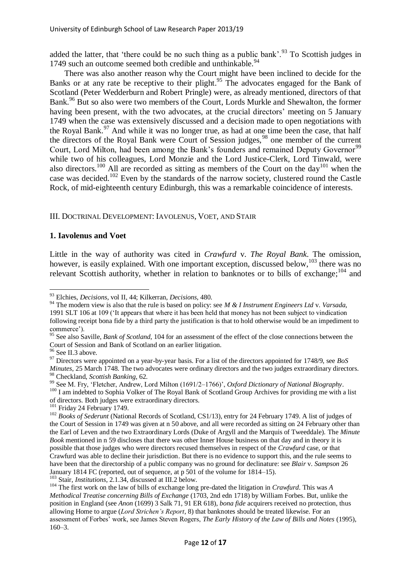added the latter, that 'there could be no such thing as a public bank'.<sup>93</sup> To Scottish judges in 1749 such an outcome seemed both credible and unthinkable.<sup>94</sup>

There was also another reason why the Court might have been inclined to decide for the Banks or at any rate be receptive to their plight.<sup>95</sup> The advocates engaged for the Bank of Scotland (Peter Wedderburn and Robert Pringle) were, as already mentioned, directors of that Bank.<sup>96</sup> But so also were two members of the Court, Lords Murkle and Shewalton, the former having been present, with the two advocates, at the crucial directors' meeting on 5 January 1749 when the case was extensively discussed and a decision made to open negotiations with the Royal Bank.<sup>97</sup> And while it was no longer true, as had at one time been the case, that half the directors of the Royal Bank were Court of Session judges,<sup>98</sup> one member of the current Court, Lord Milton, had been among the Bank's founders and remained Deputy Governor<sup>99</sup> while two of his colleagues, Lord Monzie and the Lord Justice-Clerk, Lord Tinwald, were also directors.<sup>100</sup> All are recorded as sitting as members of the Court on the day<sup>101</sup> when the case was decided.<sup>102</sup> Even by the standards of the narrow society, clustered round the Castle Rock, of mid-eighteenth century Edinburgh, this was a remarkable coincidence of interests.

III. DOCTRINAL DEVELOPMENT: IAVOLENUS, VOET, AND STAIR

# **1. Iavolenus and Voet**

Little in the way of authority was cited in *Crawfurd* v. *The Royal Bank*. The omission, however, is easily explained. With one important exception, discussed below,<sup>103</sup> there was no relevant Scottish authority, whether in relation to banknotes or to bills of exchange;<sup>104</sup> and

1

<sup>103</sup> Stair, *Institutions*, 2.1.34, discussed at III.2 below.

<sup>93</sup> Elchies, *Decisions*, vol II, 44; Kilkerran, *Decisions*, 480.

<sup>94</sup> The modern view is also that the rule is based on policy: see *M & I Instrument Engineers Ltd* v. *Varsada*, 1991 SLT 106 at 109 ('It appears that where it has been held that money has not been subject to vindication following receipt bona fide by a third party the justification is that to hold otherwise would be an impediment to commerce').

<sup>&</sup>lt;sup>95</sup> See also Saville, *Bank of Scotland*, 104 for an assessment of the effect of the close connections between the Court of Session and Bank of Scotland on an earlier litigation.

<sup>&</sup>lt;sup>96</sup> See II.3 above.

<sup>97</sup> Directors were appointed on a year-by-year basis. For a list of the directors appointed for 1748/9, see *BoS Minutes*, 25 March 1748. The two advocates were ordinary directors and the two judges extraordinary directors. <sup>98</sup> Checkland, *Scottish Banking*, 62.

<sup>99</sup> See M. Fry, 'Fletcher, Andrew, Lord Milton (1691/2–1766)', *Oxford Dictionary of National Biography*.

<sup>&</sup>lt;sup>100</sup> I am indebted to Sophia Volker of The Royal Bank of Scotland Group Archives for providing me with a list of directors. Both judges were extraordinary directors.

<sup>&</sup>lt;sup>101</sup> Friday 24 February 1749.

<sup>&</sup>lt;sup>102</sup> *Books of Sederunt* (National Records of Scotland, CS1/13), entry for 24 February 1749. A list of judges of the Court of Session in 1749 was given at n 50 above, and all were recorded as sitting on 24 February other than the Earl of Leven and the two Extraordinary Lords (Duke of Argyll and the Marquis of Tweeddale). The *Minute Book* mentioned in n 59 discloses that there was other Inner House business on that day and in theory it is possible that those judges who were directors recused themselves in respect of the *Crawfurd* case, or that Crawfurd was able to decline their jurisdiction. But there is no evidence to support this, and the rule seems to have been that the directorship of a public company was no ground for declinature: see *Blair* v. *Sampson* 26 January 1814 FC (reported, out of sequence, at p 501 of the volume for 1814–15).

<sup>104</sup> The first work on the law of bills of exchange long pre-dated the litigation in *Crawfurd*. This was *A Methodical Treatise concerning Bills of Exchange* (1703, 2nd edn 1718) by William Forbes. But, unlike the position in England (see *Anon* (1699) 3 Salk 71, 91 ER 618), *bona fide* acquirers received no protection, thus allowing Home to argue (*Lord Strichen's Report*, 8) that banknotes should be treated likewise. For an assessment of Forbes' work, see James Steven Rogers, *The Early History of the Law of Bills and Notes* (1995), 160–3.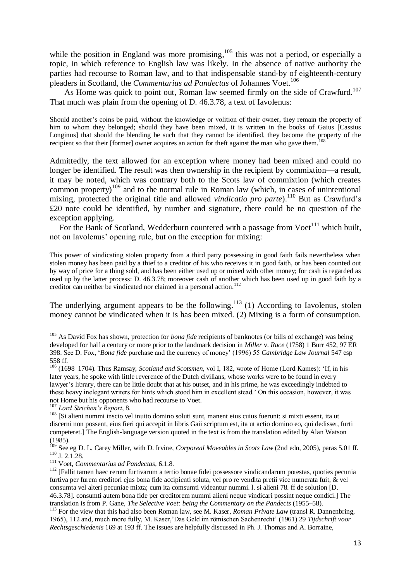while the position in England was more promising,  $105$  this was not a period, or especially a topic, in which reference to English law was likely. In the absence of native authority the parties had recourse to Roman law, and to that indispensable stand-by of eighteenth-century pleaders in Scotland, the *Commentarius ad Pandectas* of Johannes Voet.<sup>106</sup>

As Home was quick to point out, Roman law seemed firmly on the side of Crawfurd.<sup>107</sup> That much was plain from the opening of D. 46.3.78, a text of Iavolenus:

Should another's coins be paid, without the knowledge or volition of their owner, they remain the property of him to whom they belonged; should they have been mixed, it is written in the books of Gaius [Cassius Longinus] that should the blending be such that they cannot be identified, they become the property of the recipient so that their [former] owner acquires an action for theft against the man who gave them.<sup>108</sup>

Admittedly, the text allowed for an exception where money had been mixed and could no longer be identified. The result was then ownership in the recipient by commixtion—a result, it may be noted, which was contrary both to the Scots law of commixtion (which creates common property)<sup>109</sup> and to the normal rule in Roman law (which, in cases of unintentional mixing, protected the original title and allowed *vindicatio pro parte*).<sup>110</sup> But as Crawfurd's £20 note could be identified, by number and signature, there could be no question of the exception applying.

For the Bank of Scotland, Wedderburn countered with a passage from Voet<sup>111</sup> which built, not on Iavolenus' opening rule, but on the exception for mixing:

This power of vindicating stolen property from a third party possessing in good faith fails nevertheless when stolen money has been paid by a thief to a creditor of his who receives it in good faith, or has been counted out by way of price for a thing sold, and has been either used up or mixed with other money; for cash is regarded as used up by the latter process: D. 46.3.78; moreover cash of another which has been used up in good faith by a creditor can neither be vindicated nor claimed in a personal action.<sup>112</sup>

The underlying argument appears to be the following.<sup>113</sup> (1) According to Iavolenus, stolen money cannot be vindicated when it is has been mixed. (2) Mixing is a form of consumption.

<sup>105</sup> As David Fox has shown, protection for *bona fide* recipients of banknotes (or bills of exchange) was being developed for half a century or more prior to the landmark decision in *Miller* v. *Race* (1758) 1 Burr 452, 97 ER 398. See D. Fox, '*Bona fide* purchase and the currency of money' (1996) 55 *Cambridge Law Journal* 547 esp 558 ff.

<sup>106</sup> (1698–1704). Thus Ramsay, *Scotland and Scotsmen*, vol I, 182, wrote of Home (Lord Kames): 'If, in his later years, he spoke with little reverence of the Dutch civilians, whose works were to be found in every lawyer's library, there can be little doubt that at his outset, and in his prime, he was exceedingly indebted to these heavy inelegant writers for hints which stood him in excellent stead.' On this occasion, however, it was not Home but his opponents who had recourse to Voet.

<sup>107</sup> *Lord Strichen's Report*, 8.

<sup>108</sup> [Si alieni nummi inscio vel inuito domino soluti sunt, manent eius cuius fuerunt: si mixti essent, ita ut discerni non possent, eius fieri qui accepit in libris Gaii scriptum est, ita ut actio domino eo, qui dedisset, furti competeret.] The English-language version quoted in the text is from the translation edited by Alan Watson (1985).

<sup>109</sup> See eg D. L. Carey Miller, with D. Irvine, *Corporeal Moveables in Scots Law* (2nd edn, 2005), paras 5.01 ff.  $110$  J. 2.1.28.

<sup>111</sup> Voet, *Commentarius ad Pandectas*, 6.1.8.

<sup>&</sup>lt;sup>112</sup> [Fallit tamen haec rerum furtivarum a tertio bonae fidei possessore vindicandarum potestas, quoties pecunia furtiva per furem creditori ejus bona fide accipienti soluta, vel pro re vendita pretii vice numerata fuit, & vel consumta vel alteri pecuniae mixta; cum ita comsumti videantur nummi. l. si alieni 78. ff de solution [D. 46.3.78]. consumti autem bona fide per creditorem nummi alieni neque vindicari possint neque condici.] The translation is from P. Gane, *The Selective Voet: being the Commentary on the Pandects* (1955–58).

<sup>113</sup> For the view that this had also been Roman law, see M. Kaser, *Roman Private Law* (transl R. Dannenbring, 1965), 112 and, much more fully, M. Kaser,'Das Geld im römischen Sachenrecht' (1961) 29 *Tijdschrift voor Rechtsgeschiedenis* 169 at 193 ff. The issues are helpfully discussed in Ph. J. Thomas and A. Borraine,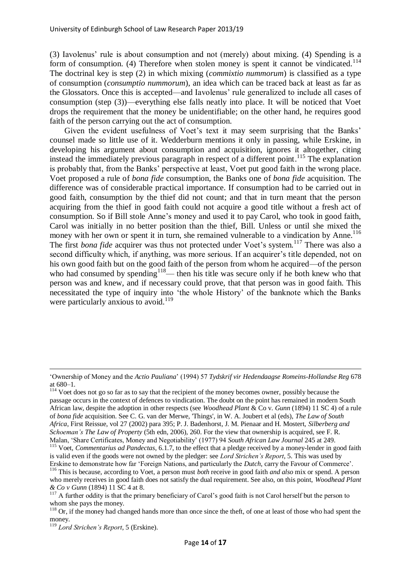(3) Iavolenus' rule is about consumption and not (merely) about mixing. (4) Spending is a form of consumption. (4) Therefore when stolen money is spent it cannot be vindicated.<sup>114</sup> The doctrinal key is step (2) in which mixing (*commixtio nummorum*) is classified as a type of consumption (*consumptio nummorum*), an idea which can be traced back at least as far as the Glossators. Once this is accepted—and Iavolenus' rule generalized to include all cases of consumption (step (3))—everything else falls neatly into place. It will be noticed that Voet drops the requirement that the money be unidentifiable; on the other hand, he requires good faith of the person carrying out the act of consumption.

Given the evident usefulness of Voet's text it may seem surprising that the Banks' counsel made so little use of it. Wedderburn mentions it only in passing, while Erskine, in developing his argument about consumption and acquisition, ignores it altogether, citing instead the immediately previous paragraph in respect of a different point. <sup>115</sup> The explanation is probably that, from the Banks' perspective at least, Voet put good faith in the wrong place. Voet proposed a rule of *bona fide* consumption, the Banks one of *bona fide* acquisition. The difference was of considerable practical importance. If consumption had to be carried out in good faith, consumption by the thief did not count; and that in turn meant that the person acquiring from the thief in good faith could not acquire a good title without a fresh act of consumption. So if Bill stole Anne's money and used it to pay Carol, who took in good faith, Carol was initially in no better position than the thief, Bill. Unless or until she mixed the money with her own or spent it in turn, she remained vulnerable to a vindication by Anne.<sup>116</sup> The first *bona fide* acquirer was thus not protected under Voet's system.<sup>117</sup> There was also a second difficulty which, if anything, was more serious. If an acquirer's title depended, not on his own good faith but on the good faith of the person from whom he acquired—of the person who had consumed by spending<sup>118</sup>— then his title was secure only if he both knew who that person was and knew, and if necessary could prove, that that person was in good faith. This necessitated the type of inquiry into 'the whole History' of the banknote which the Banks were particularly anxious to avoid.<sup>119</sup>

<sup>&#</sup>x27;Ownership of Money and the *Actio Pauliana*' (1994) 57 *Tydskrif vir Hedendaagse Romeins-Hollandse Reg* 678 at 680–1.

<sup>&</sup>lt;sup>114</sup> Voet does not go so far as to say that the recipient of the money becomes owner, possibly because the passage occurs in the context of defences to vindication. The doubt on the point has remained in modern South African law, despite the adoption in other respects (see *Woodhead Plant* & Co v. *Gunn* (1894) 11 SC 4) of a rule of *bona fide* acquisition. See C. G. van der Merwe, 'Things', in W. A. Joubert et al (eds), *The Law of South Africa*, First Reissue, vol 27 (2002) para 395; P. J. Badenhorst, J. M. Pienaar and H. Mostert, *Silberberg and Schoeman's The Law of Property* (5th edn, 2006), 260. For the view that ownership is acquired, see F. R. Malan, 'Share Certificates, Money and Negotiability' (1977) 94 *South African Law Journal* 245 at 249.

<sup>115</sup> Voet, *Commentarius ad Pandectas*, 6.1.7, to the effect that a pledge received by a money-lender in good faith is valid even if the goods were not owned by the pledger: see *Lord Strichen's Report*, 5. This was used by Erskine to demonstrate how far 'Foreign Nations, and particularly the *Dutch*, carry the Favour of Commerce'.

<sup>116</sup> This is because, according to Voet, a person must *both* receive in good faith *and also* mix or spend. A person who merely receives in good faith does not satisfy the dual requirement. See also, on this point, *Woodhead Plant & Co v Gunn* (1894) 11 SC 4 at 8.

 $117$  A further oddity is that the primary beneficiary of Carol's good faith is not Carol herself but the person to whom she pays the money.

<sup>&</sup>lt;sup>118</sup> Or, if the money had changed hands more than once since the theft, of one at least of those who had spent the money.

<sup>119</sup> *Lord Strichen's Report*, 5 (Erskine).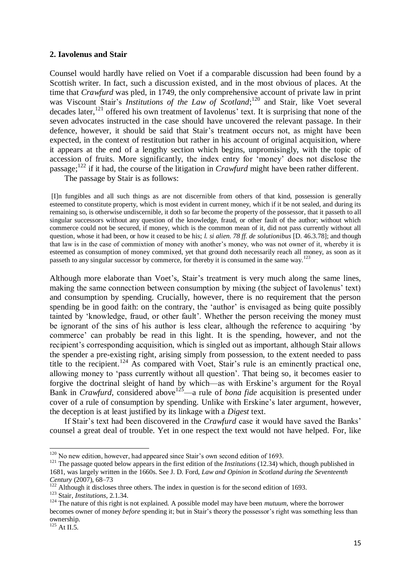#### **2. Iavolenus and Stair**

Counsel would hardly have relied on Voet if a comparable discussion had been found by a Scottish writer. In fact, such a discussion existed, and in the most obvious of places. At the time that *Crawfurd* was pled, in 1749, the only comprehensive account of private law in print was Viscount Stair's *Institutions of the Law of Scotland*;<sup>120</sup> and Stair, like Voet several decades later,  $^{121}$  offered his own treatment of Iavolenus' text. It is surprising that none of the seven advocates instructed in the case should have uncovered the relevant passage. In their defence, however, it should be said that Stair's treatment occurs not, as might have been expected, in the context of restitution but rather in his account of original acquisition, where it appears at the end of a lengthy section which begins, unpromisingly, with the topic of accession of fruits. More significantly, the index entry for 'money' does not disclose the passage; <sup>122</sup> if it had, the course of the litigation in *Crawfurd* might have been rather different.

The passage by Stair is as follows:

[I]n fungibles and all such things as are not discernible from others of that kind, possession is generally esteemed to constitute property, which is most evident in current money, which if it be not sealed, and during its remaining so, is otherwise undiscernible, it doth so far become the property of the possessor, that it passeth to all singular successors without any question of the knowledge, fraud, or other fault of the author; without which commerce could not be secured, if money, which is the common mean of it, did not pass currently without all question, whose it had been, or how it ceased to be his; *l. si alien. 78 ff. de solutionibus* [D. 46.3.78]; and though that law is in the case of commixtion of money with another's money, who was not owner of it, whereby it is esteemed as consumption of money commixed, yet that ground doth necessarily reach all money, as soon as it passeth to any singular successor by commerce, for thereby it is consumed in the same way.<sup>123</sup>

Although more elaborate than Voet's, Stair's treatment is very much along the same lines, making the same connection between consumption by mixing (the subject of Iavolenus' text) and consumption by spending. Crucially, however, there is no requirement that the person spending be in good faith: on the contrary, the 'author' is envisaged as being quite possibly tainted by 'knowledge, fraud, or other fault'. Whether the person receiving the money must be ignorant of the sins of his author is less clear, although the reference to acquiring 'by commerce' can probably be read in this light. It is the spending, however, and not the recipient's corresponding acquisition, which is singled out as important, although Stair allows the spender a pre-existing right, arising simply from possession, to the extent needed to pass title to the recipient.<sup>124</sup> As compared with Voet, Stair's rule is an eminently practical one, allowing money to 'pass currently without all question'. That being so, it becomes easier to forgive the doctrinal sleight of hand by which—as with Erskine's argument for the Royal Bank in *Crawfurd*, considered above<sup>125</sup>—a rule of *bona fide* acquisition is presented under cover of a rule of consumption by spending. Unlike with Erskine's later argument, however, the deception is at least justified by its linkage with a *Digest* text.

If Stair's text had been discovered in the *Crawfurd* case it would have saved the Banks' counsel a great deal of trouble. Yet in one respect the text would not have helped. For, like

**.** 

<sup>&</sup>lt;sup>120</sup> No new edition, however, had appeared since Stair's own second edition of 1693.

<sup>&</sup>lt;sup>121</sup> The passage quoted below appears in the first edition of the *Institutions* (12.34) which, though published in 1681, was largely written in the 1660s. See J. D. Ford, *Law and Opinion in Scotland during the Seventeenth Century* (2007), 68–73

 $122$  Although it discloses three others. The index in question is for the second edition of 1693.

<sup>123</sup> Stair, *Institutions*, 2.1.34.

<sup>&</sup>lt;sup>124</sup> The nature of this right is not explained. A possible model may have been *mutuum*, where the borrower becomes owner of money *before* spending it; but in Stair's theory the possessor's right was something less than ownership.

 $^{125}$  At II.5.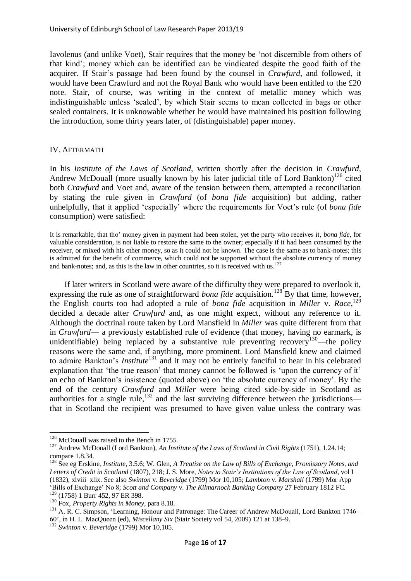Iavolenus (and unlike Voet), Stair requires that the money be 'not discernible from others of that kind'; money which can be identified can be vindicated despite the good faith of the acquirer. If Stair's passage had been found by the counsel in *Crawfurd*, and followed, it would have been Crawfurd and not the Royal Bank who would have been entitled to the £20 note. Stair, of course, was writing in the context of metallic money which was indistinguishable unless 'sealed', by which Stair seems to mean collected in bags or other sealed containers. It is unknowable whether he would have maintained his position following the introduction, some thirty years later, of (distinguishable) paper money.

### IV. AFTERMATH

In his *Institute of the Laws of Scotland*, written shortly after the decision in *Crawfurd*, Andrew McDouall (more usually known by his later judicial title of Lord Bankton)<sup>126</sup> cited both *Crawfurd* and Voet and, aware of the tension between them, attempted a reconciliation by stating the rule given in *Crawfurd* (of *bona fide* acquisition) but adding, rather unhelpfully, that it applied 'especially' where the requirements for Voet's rule (of *bona fide*  consumption) were satisfied:

It is remarkable, that tho' money given in payment had been stolen, yet the party who receives it, *bona fide*, for valuable consideration, is not liable to restore the same to the owner; especially if it had been consumed by the receiver, or mixed with his other money, so as it could not be known. The case is the same as to bank-notes; this is admitted for the benefit of commerce, which could not be supported without the absolute currency of money and bank-notes; and, as this is the law in other countries, so it is received with us.<sup>127</sup>

If later writers in Scotland were aware of the difficulty they were prepared to overlook it, expressing the rule as one of straightforward *bona fide* acquisition.<sup>128</sup> By that time, however, the English courts too had adopted a rule of *bona fide* acquisition in *Miller* v. *Race*, 129 decided a decade after *Crawfurd* and, as one might expect, without any reference to it. Although the doctrinal route taken by Lord Mansfield in *Miller* was quite different from that in *Crawfurd*— a previously established rule of evidence (that money, having no earmark, is unidentifiable) being replaced by a substantive rule preventing recovery<sup>130</sup>—the policy reasons were the same and, if anything, more prominent. Lord Mansfield knew and claimed to admire Bankton's *Institute*<sup>131</sup> and it may not be entirely fanciful to hear in his celebrated explanation that 'the true reason' that money cannot be followed is 'upon the currency of it' an echo of Bankton's insistence (quoted above) on 'the absolute currency of money'. By the end of the century *Crawfurd* and *Miller* were being cited side-by-side in Scotland as authorities for a single rule,<sup>132</sup> and the last surviving difference between the jurisdictions that in Scotland the recipient was presumed to have given value unless the contrary was

<sup>&</sup>lt;sup>126</sup> McDouall was raised to the Bench in 1755.

<sup>127</sup> Andrew McDouall (Lord Bankton), *An Institute of the Laws of Scotland in Civil Rights* (1751), 1.24.14; compare 1.8.34.

<sup>128</sup> See eg Erskine, *Institute*, 3.5.6; W. Glen, *A Treatise on the Law of Bills of Exchange, Promissory Notes, and Letters of Credit in Scotland* (1807), 218; J. S. More, *Notes to Stair's Institutions of the Law of Scotland*, vol I (1832), xlviii–xlix. See also *Swinton* v. *Beveridge* (1799) Mor 10,105; *Lambton* v. *Marshall* (1799) Mor App 'Bills of Exchange' No 8; *Scott and Company* v. *The Kilmarnock Banking Company* 27 February 1812 FC.

<sup>&</sup>lt;sup>129</sup> (1758) 1 Burr 452, 97 ER 398.

<sup>130</sup> Fox, *Property Rights in Money*, para 8.18.

<sup>&</sup>lt;sup>131</sup> A. R. C. Simpson, 'Learning, Honour and Patronage: The Career of Andrew McDouall, Lord Bankton 1746– 60', in H. L. MacQueen (ed), *Miscellany Six* (Stair Society vol 54, 2009) 121 at 138–9.

<sup>132</sup> *Swinton* v*. Beveridge* (1799) Mor 10,105.